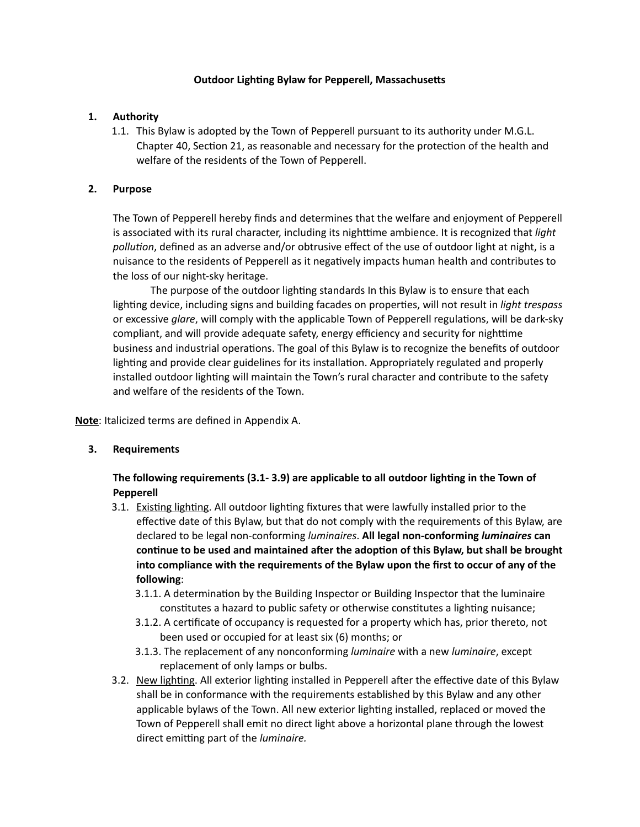### **Outdoor Lighting Bylaw for Pepperell, Massachusetts**

#### **1. Authority**

1.1. This Bylaw is adopted by the Town of Pepperell pursuant to its authority under M.G.L. Chapter 40, Section 21, as reasonable and necessary for the protection of the health and welfare of the residents of the Town of Pepperell.

#### **2. Purpose**

The Town of Pepperell hereby finds and determines that the welfare and enjoyment of Pepperell is associated with its rural character, including its nighttime ambience. It is recognized that *light pollution*, defined as an adverse and/or obtrusive effect of the use of outdoor light at night, is a nuisance to the residents of Pepperell as it negatively impacts human health and contributes to the loss of our night-sky heritage.

The purpose of the outdoor lighting standards In this Bylaw is to ensure that each lighting device, including signs and building facades on properties, will not result in *light trespass* or excessive *glare*, will comply with the applicable Town of Pepperell regulations, will be dark-sky compliant, and will provide adequate safety, energy efficiency and security for nighttime business and industrial operations. The goal of this Bylaw is to recognize the benefits of outdoor lighting and provide clear guidelines for its installation. Appropriately regulated and properly installed outdoor lighting will maintain the Town's rural character and contribute to the safety and welfare of the residents of the Town.

**Note**: Italicized terms are defined in Appendix A.

### **3. Requirements**

**The following requirements (3.1- 3.9) are applicable to all outdoor lighting in the Town of Pepperell**

- 3.1. Existing lighting. All outdoor lighting fixtures that were lawfully installed prior to the effective date of this Bylaw, but that do not comply with the requirements of this Bylaw, are declared to be legal non-conforming *luminaires*. **All legal non-conforming** *luminaires* **can continue to be used and maintained after the adoption of this Bylaw, but shall be brought into compliance with the requirements of the Bylaw upon the first to occur of any of the following**:
	- 3.1.1. A determination by the Building Inspector or Building Inspector that the luminaire constitutes a hazard to public safety or otherwise constitutes a lighting nuisance;
	- 3.1.2. A certificate of occupancy is requested for a property which has, prior thereto, not been used or occupied for at least six (6) months; or
	- 3.1.3. The replacement of any nonconforming *luminaire* with a new *luminaire*, except replacement of only lamps or bulbs.
- 3.2. New lighting. All exterior lighting installed in Pepperell after the effective date of this Bylaw shall be in conformance with the requirements established by this Bylaw and any other applicable bylaws of the Town. All new exterior lighting installed, replaced or moved the Town of Pepperell shall emit no direct light above a horizontal plane through the lowest direct emitting part of the *luminaire.*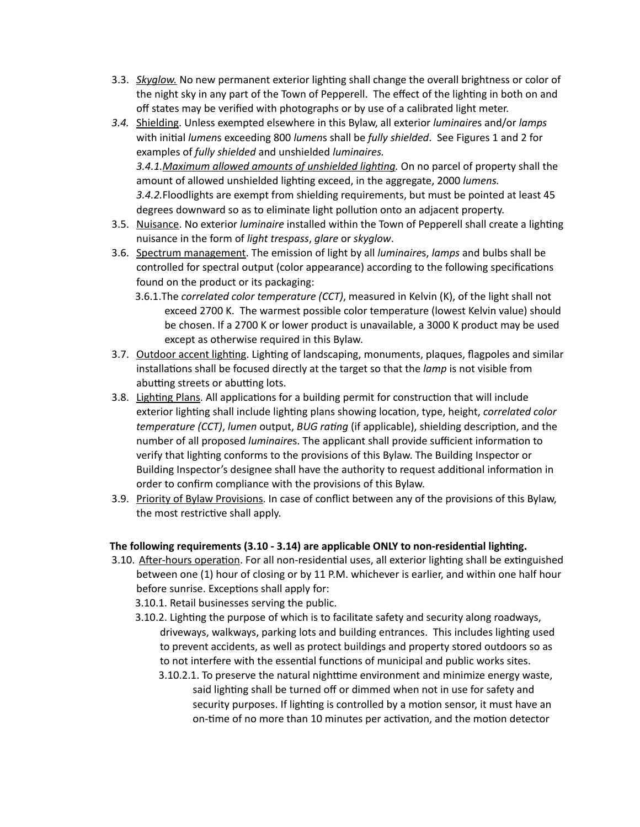- 3.3. *Skyglow.* No new permanent exterior lighting shall change the overall brightness or color of the night sky in any part of the Town of Pepperell. The effect of the lighting in both on and off states may be verified with photographs or by use of a calibrated light meter.
- *3.4.* Shielding. Unless exempted elsewhere in this Bylaw, all exterior *luminaire*s and/or *lamps* with initial *lumen*s exceeding 800 *lumen*s shall be *fully shielded*. See Figures 1 and 2 for examples of *fully shielded* and unshielded *luminaires. 3.4.1.Maximum allowed amounts of unshielded lighting.* On no parcel of property shall the amount of allowed unshielded lighting exceed, in the aggregate, 2000 *lumens. 3.4.2.*Floodlights are exempt from shielding requirements, but must be pointed at least 45 degrees downward so as to eliminate light pollution onto an adjacent property.
- 3.5. Nuisance. No exterior *luminaire* installed within the Town of Pepperell shall create a lighting nuisance in the form of *light trespass*, *glare* or *skyglow*.
- 3.6. Spectrum management. The emission of light by all *luminaire*s, *lamps* and bulbs shall be controlled for spectral output (color appearance) according to the following specifications found on the product or its packaging:
	- 3.6.1.The *correlated color temperature (CCT)*, measured in Kelvin (K), of the light shall not exceed 2700 K. The warmest possible color temperature (lowest Kelvin value) should be chosen. If a 2700 K or lower product is unavailable, a 3000 K product may be used except as otherwise required in this Bylaw.
- 3.7. Outdoor accent lighting. Lighting of landscaping, monuments, plaques, flagpoles and similar installations shall be focused directly at the target so that the *lamp* is not visible from abutting streets or abutting lots.
- 3.8. Lighting Plans. All applications for a building permit for construction that will include exterior lighting shall include lighting plans showing location, type, height, *correlated color temperature (CCT)*, *lumen* output, *BUG rating* (if applicable), shielding description, and the number of all proposed *luminaire*s. The applicant shall provide sufficient information to verify that lighting conforms to the provisions of this Bylaw. The Building Inspector or Building Inspector's designee shall have the authority to request additional information in order to confirm compliance with the provisions of this Bylaw.
- 3.9. Priority of Bylaw Provisions. In case of conflict between any of the provisions of this Bylaw, the most restrictive shall apply.

### **The following requirements (3.10 - 3.14) are applicable ONLY to non-residential lighting.**

- 3.10. After-hours operation. For all non-residential uses, all exterior lighting shall be extinguished between one (1) hour of closing or by 11 P.M. whichever is earlier, and within one half hour before sunrise. Exceptions shall apply for:
	- 3.10.1. Retail businesses serving the public.
	- 3.10.2. Lighting the purpose of which is to facilitate safety and security along roadways, driveways, walkways, parking lots and building entrances. This includes lighting used to prevent accidents, as well as protect buildings and property stored outdoors so as to not interfere with the essential functions of municipal and public works sites.
		- 3.10.2.1. To preserve the natural nighttime environment and minimize energy waste, said lighting shall be turned off or dimmed when not in use for safety and security purposes. If lighting is controlled by a motion sensor, it must have an on-time of no more than 10 minutes per activation, and the motion detector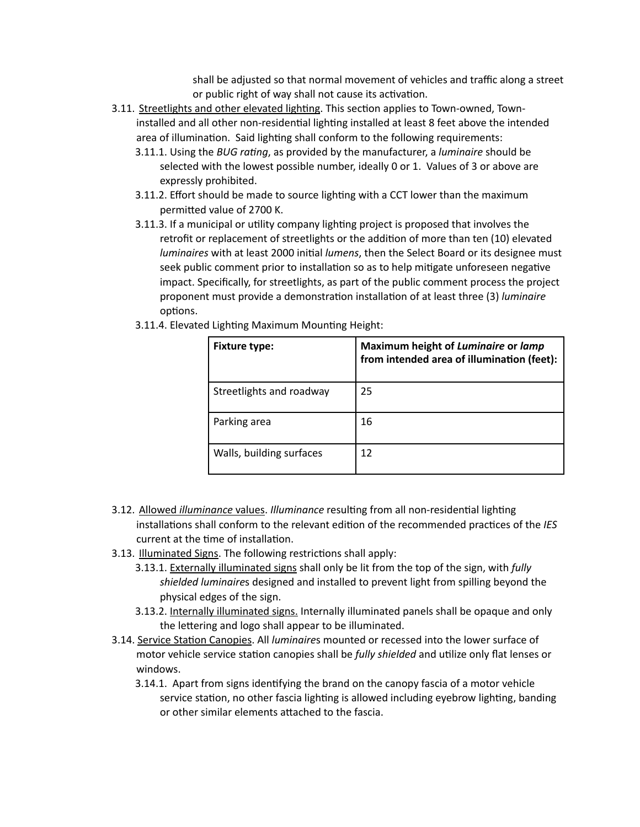shall be adjusted so that normal movement of vehicles and traffic along a street or public right of way shall not cause its activation.

- 3.11. Streetlights and other elevated lighting. This section applies to Town-owned, Towninstalled and all other non-residential lighting installed at least 8 feet above the intended area of illumination. Said lighting shall conform to the following requirements:
	- 3.11.1. Using the *BUG rating*, as provided by the manufacturer, a *luminaire* should be selected with the lowest possible number, ideally 0 or 1. Values of 3 or above are expressly prohibited.
	- 3.11.2. Effort should be made to source lighting with a CCT lower than the maximum permitted value of 2700 K.
	- 3.11.3. If a municipal or utility company lighting project is proposed that involves the retrofit or replacement of streetlights or the addition of more than ten (10) elevated *luminaires* with at least 2000 initial *lumens*, then the Select Board or its designee must seek public comment prior to installation so as to help mitigate unforeseen negative impact. Specifically, for streetlights, as part of the public comment process the project proponent must provide a demonstration installation of at least three (3) *luminaire*  options.
	- 3.11.4. Elevated Lighting Maximum Mounting Height:

| <b>Fixture type:</b>     | Maximum height of Luminaire or lamp<br>from intended area of illumination (feet): |
|--------------------------|-----------------------------------------------------------------------------------|
| Streetlights and roadway | 25                                                                                |
| Parking area             | 16                                                                                |
| Walls, building surfaces | 12                                                                                |

- 3.12. Allowed *illuminance* values. *Illuminance* resulting from all non-residential lighting installations shall conform to the relevant edition of the recommended practices of the *IES* current at the time of installation.
- 3.13. Illuminated Signs. The following restrictions shall apply:
	- 3.13.1. Externally illuminated signs shall only be lit from the top of the sign, with *fully shielded luminaire*s designed and installed to prevent light from spilling beyond the physical edges of the sign.
	- 3.13.2. Internally illuminated signs. Internally illuminated panels shall be opaque and only the lettering and logo shall appear to be illuminated.
- 3.14. Service Station Canopies. All *luminaire*s mounted or recessed into the lower surface of motor vehicle service station canopies shall be *fully shielded* and utilize only flat lenses or windows.
	- 3.14.1. Apart from signs identifying the brand on the canopy fascia of a motor vehicle service station, no other fascia lighting is allowed including eyebrow lighting, banding or other similar elements attached to the fascia.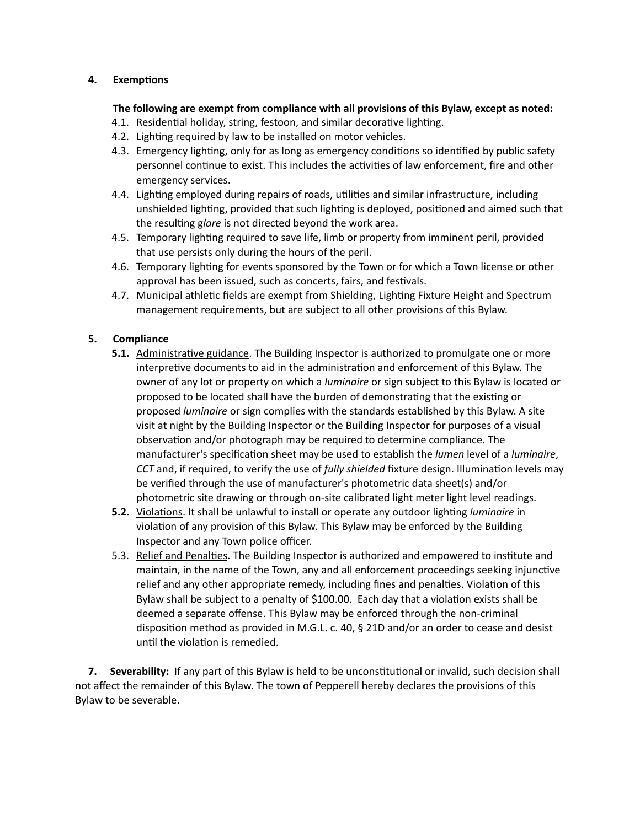### **4. Exemptions**

## **The following are exempt from compliance with all provisions of this Bylaw, except as noted:**

- 4.1. Residential holiday, string, festoon, and similar decorative lighting.
- 4.2. Lighting required by law to be installed on motor vehicles.
- 4.3. Emergency lighting, only for as long as emergency conditions so identified by public safety personnel continue to exist. This includes the activities of law enforcement, fire and other emergency services.
- 4.4. Lighting employed during repairs of roads, utilities and similar infrastructure, including unshielded lighting, provided that such lighting is deployed, positioned and aimed such that the resulting g*lare* is not directed beyond the work area.
- 4.5. Temporary lighting required to save life, limb or property from imminent peril, provided that use persists only during the hours of the peril.
- 4.6. Temporary lighting for events sponsored by the Town or for which a Town license or other approval has been issued, such as concerts, fairs, and festivals.
- 4.7. Municipal athletic fields are exempt from Shielding, Lighting Fixture Height and Spectrum management requirements, but are subject to all other provisions of this Bylaw.

# **5. Compliance**

- **5.1.** Administrative guidance. The Building Inspector is authorized to promulgate one or more interpretive documents to aid in the administration and enforcement of this Bylaw. The owner of any lot or property on which a *luminaire* or sign subject to this Bylaw is located or proposed to be located shall have the burden of demonstrating that the existing or proposed *luminaire* or sign complies with the standards established by this Bylaw. A site visit at night by the Building Inspector or the Building Inspector for purposes of a visual observation and/or photograph may be required to determine compliance. The manufacturer's specification sheet may be used to establish the *lumen* level of a *luminaire*, *CCT* and, if required, to verify the use of *fully shielded* fixture design. Illumination levels may be verified through the use of manufacturer's photometric data sheet(s) and/or photometric site drawing or through on-site calibrated light meter light level readings.
- **5.2.** Violations. It shall be unlawful to install or operate any outdoor lighting *luminaire* in violation of any provision of this Bylaw. This Bylaw may be enforced by the Building Inspector and any Town police officer.
- 5.3. Relief and Penalties. The Building Inspector is authorized and empowered to institute and maintain, in the name of the Town, any and all enforcement proceedings seeking injunctive relief and any other appropriate remedy, including fines and penalties. Violation of this Bylaw shall be subject to a penalty of \$100.00. Each day that a violation exists shall be deemed a separate offense. This Bylaw may be enforced through the non-criminal disposition method as provided in M.G.L. c. 40, § 21D and/or an order to cease and desist until the violation is remedied.

 **7. Severability:** If any part of this Bylaw is held to be unconstitutional or invalid, such decision shall not affect the remainder of this Bylaw. The town of Pepperell hereby declares the provisions of this Bylaw to be severable.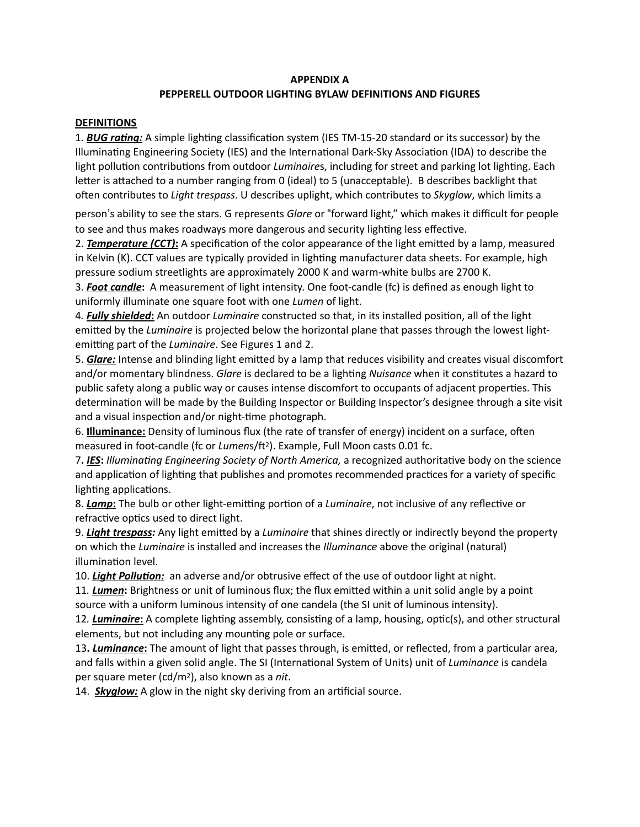#### **APPENDIX A**

# **PEPPERELL OUTDOOR LIGHTING BYLAW DEFINITIONS AND FIGURES**

#### **DEFINITIONS**

1. *BUG rating:* A simple lighting classification system (IES TM-15-20 standard or its successor) by the Illuminating Engineering Society (IES) and the International Dark-Sky Association (IDA) to describe the light pollution contributions from outdoor *Luminaire*s, including for street and parking lot lighting. Each letter is attached to a number ranging from 0 (ideal) to 5 (unacceptable). B describes backlight that often contributes to *Light trespass*. U describes uplight, which contributes to *Skyglow*, which limits a

person's ability to see the stars. G represents *Glare* or "forward light," which makes it difficult for people to see and thus makes roadways more dangerous and security lighting less effective.

2. *Temperature (CCT)***:** A specification of the color appearance of the light emitted by a lamp, measured in Kelvin (K). CCT values are typically provided in lighting manufacturer data sheets. For example, high pressure sodium streetlights are approximately 2000 K and warm-white bulbs are 2700 K.

3. *Foot candle***:** A measurement of light intensity. One foot-candle (fc) is defined as enough light to uniformly illuminate one square foot with one *Lumen* of light.

4*. Fully shielded***:** An outdoor *Luminaire* constructed so that, in its installed position, all of the light emitted by the *Luminaire* is projected below the horizontal plane that passes through the lowest lightemitting part of the *Luminaire*. See Figures 1 and 2.

5. *Glare:* Intense and blinding light emitted by a lamp that reduces visibility and creates visual discomfort and/or momentary blindness. *Glare* is declared to be a lighting *Nuisance* when it constitutes a hazard to public safety along a public way or causes intense discomfort to occupants of adjacent properties. This determination will be made by the Building Inspector or Building Inspector's designee through a site visit and a visual inspection and/or night-time photograph.

6. **Illuminance:** Density of luminous flux (the rate of transfer of energy) incident on a surface, often measured in foot-candle (fc or *Lumens/ft<sup>2</sup>*). Example, Full Moon casts 0.01 fc.

7**.** *IES***:** *Illuminating Engineering Society of North America,* a recognized authoritative body on the science and application of lighting that publishes and promotes recommended practices for a variety of specific lighting applications.

8. *Lamp***:** The bulb or other light-emitting portion of a *Luminaire*, not inclusive of any reflective or refractive optics used to direct light.

9. *Light trespass:* Any light emitted by a *Luminaire* that shines directly or indirectly beyond the property on which the *Luminaire* is installed and increases the *Illuminance* above the original (natural) illumination level.

10. *Light Pollution:* an adverse and/or obtrusive effect of the use of outdoor light at night.

11*. Lumen***:** Brightness or unit of luminous flux; the flux emitted within a unit solid angle by a point source with a uniform luminous intensity of one candela (the SI unit of luminous intensity).

12*. Luminaire***:** A complete lighting assembly, consisting of a lamp, housing, optic(s), and other structural elements, but not including any mounting pole or surface.

13**.** *Luminance***:** The amount of light that passes through, is emitted, or reflected, from a particular area, and falls within a given solid angle. The SI (International System of Units) unit of *Luminance* is candela per square meter (cd/m2), also known as a *nit*.

14. *Skyglow:* A glow in the night sky deriving from an artificial source.